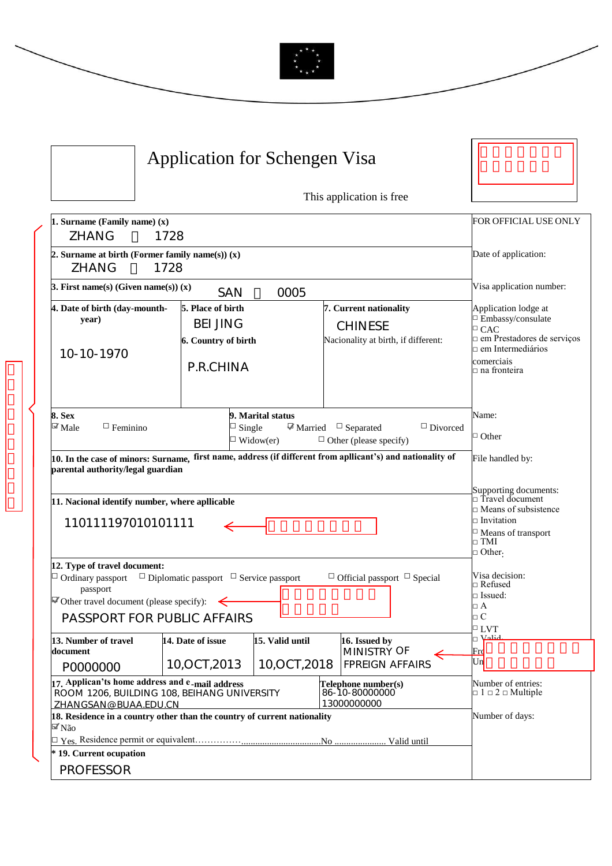

|                                                                                                                                                                                                                                                                                                               | Application for Schengen Visa                                                                                                           |                                                                                 |                                                                                                                                                       |
|---------------------------------------------------------------------------------------------------------------------------------------------------------------------------------------------------------------------------------------------------------------------------------------------------------------|-----------------------------------------------------------------------------------------------------------------------------------------|---------------------------------------------------------------------------------|-------------------------------------------------------------------------------------------------------------------------------------------------------|
|                                                                                                                                                                                                                                                                                                               |                                                                                                                                         | This application is free                                                        |                                                                                                                                                       |
| 1. Surname (Family name) (x)<br><b>ZHANG</b><br>1728                                                                                                                                                                                                                                                          | FOR OFFICIAL USE ONLY                                                                                                                   |                                                                                 |                                                                                                                                                       |
| 2. Surname at birth (Former family name(s)) $(x)$<br>1728<br>ZHANG                                                                                                                                                                                                                                            | Date of application:                                                                                                                    |                                                                                 |                                                                                                                                                       |
| 3. First name(s) (Given name(s)) $(x)$                                                                                                                                                                                                                                                                        | Visa application number:                                                                                                                |                                                                                 |                                                                                                                                                       |
| 4. Date of birth (day-mounth-<br>year)<br>10-10-1970                                                                                                                                                                                                                                                          | 5. Place of birth<br><b>BEI JING</b><br>6. Country of birth<br>P.R.CHINA                                                                | 7. Current nationality<br><b>CHINESE</b><br>Nacionality at birth, if different: | Application lodge at<br>□ Embassy/consulate<br>$\Box$ CAC<br>n em Prestadores de serviços<br>$\Box$ em Intermediários<br>comerciais<br>□ na fronteira |
| 9. Marital status<br>8. Sex<br>$\mathbb{Z}$ Male<br>$\Box$ Feminino<br>$M$ Married<br>$\Box$ Divorced<br>$\Box$ Single<br>$\Box$ Separated<br>$\Box$ Widow(er)<br>$\Box$ Other (please specify)<br>10. In the case of minors: Surname, first name, address (if different from apllicant's) and nationality of |                                                                                                                                         |                                                                                 | Name:<br>$\Box$ Other                                                                                                                                 |
| parental authority/legal guardian                                                                                                                                                                                                                                                                             |                                                                                                                                         |                                                                                 | File handled by:                                                                                                                                      |
| 11. Nacional identify number, where apllicable<br>110111197010101111                                                                                                                                                                                                                                          | Supporting documents:<br>□ Travel document<br>$\Box$ Means of subsistence<br>$\square$ Invitation<br>□ Means of transport<br>$\Box$ TMI |                                                                                 |                                                                                                                                                       |
| 12. Type of travel document:<br>$\Box$ Ordinary passport<br>$\Box$ Diplomatic passport $\Box$ Service passport<br>passport<br>$\blacksquare$ Other travel document (please specify):<br>PASSPORT FOR PUBLIC AFFAIRS                                                                                           | $\Box$ Other.<br>Visa decision:<br>□ Refused<br>$\square$ Issued:<br>$\Box$ A<br>$\Box$ C                                               |                                                                                 |                                                                                                                                                       |
| 13. Number of travel<br>document                                                                                                                                                                                                                                                                              | 15. Valid until<br>14. Date of issue                                                                                                    | 16. Issued by<br>MINISTRY OF                                                    | $\Box$ LVT<br>ات ال<br>اسلام<br>$\operatorname{Frd}$                                                                                                  |
| P0000000                                                                                                                                                                                                                                                                                                      | 10,0CT,2013                                                                                                                             | 10,0CT,2018<br><b>FPREIGN AFFAIRS</b>                                           | Un                                                                                                                                                    |
| 17. Applican'ts home address and e-mail address<br>ROOM 1206, BUILDING 108, BEIHANG UNIVERSITY<br>ZHANGSAN@BUAA.EDU.CN                                                                                                                                                                                        | Number of entries:<br>$\Box$ 1 $\Box$ 2 $\Box$ Multiple                                                                                 |                                                                                 |                                                                                                                                                       |
| 18. Residence in a country other than the country of current nationality<br>$\mathbb{F}$ Não                                                                                                                                                                                                                  | Number of days:                                                                                                                         |                                                                                 |                                                                                                                                                       |
| * 19. Current ocupation                                                                                                                                                                                                                                                                                       |                                                                                                                                         |                                                                                 |                                                                                                                                                       |
| <b>PROFESSOR</b>                                                                                                                                                                                                                                                                                              |                                                                                                                                         |                                                                                 |                                                                                                                                                       |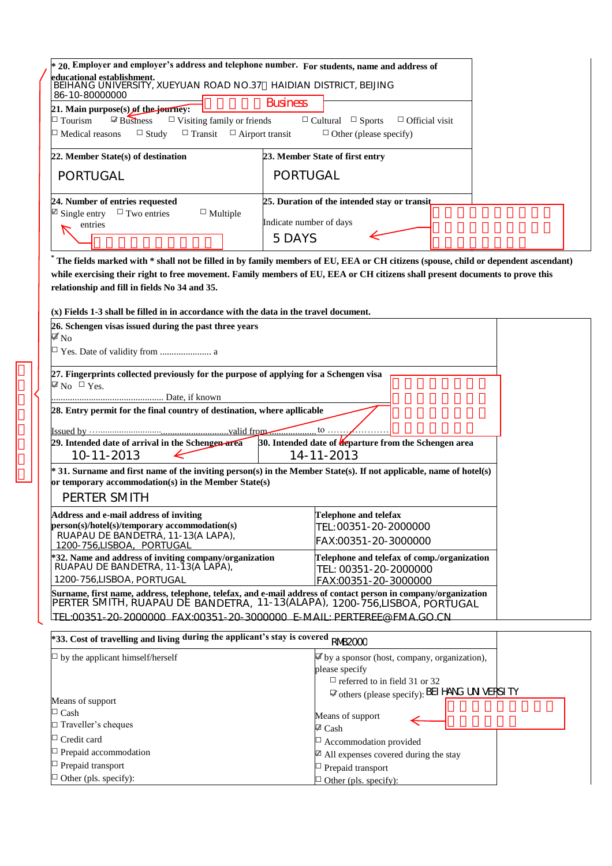| * 20. Employer and employer's address and telephone number. For students, name and address of                                                                                                                                                                                                                          |                                                                                                                                    |  |  |  |  |  |
|------------------------------------------------------------------------------------------------------------------------------------------------------------------------------------------------------------------------------------------------------------------------------------------------------------------------|------------------------------------------------------------------------------------------------------------------------------------|--|--|--|--|--|
| educational establishment.<br>BEIHANG UNIVERSITY, XUEYUAN ROAD NO.37 HAIDIAN DISTRICT, BEIJING<br>86-10-80000000                                                                                                                                                                                                       |                                                                                                                                    |  |  |  |  |  |
| <b>Business</b><br>21. Main purpose(s) of the journey:<br>$\boxtimes$ Business<br>$\Box$ Visiting family or friends<br>$\Box$ Tourism<br>$\Box$ Cultural $\Box$ Sports<br>$\Box$ Official visit<br>$\Box$ Transit<br>$\Box$ Airport transit<br>$\Box$ Medical reasons<br>$\Box$ Study<br>$\Box$ Other (please specify) |                                                                                                                                    |  |  |  |  |  |
| 22. Member State(s) of destination                                                                                                                                                                                                                                                                                     | 23. Member State of first entry                                                                                                    |  |  |  |  |  |
| PORTUGAL                                                                                                                                                                                                                                                                                                               | PORTUGAL                                                                                                                           |  |  |  |  |  |
| 24. Number of entries requested<br>$\mathbb{Z}$ Single entry<br>$\Box$ Two entries<br>$\Box$ Multiple<br>entries                                                                                                                                                                                                       | 25. Duration of the intended stay or transit<br>Indicate number of days<br>5DAYS                                                   |  |  |  |  |  |
|                                                                                                                                                                                                                                                                                                                        | The fields marked with * shall not be filled in by family members of EU, EEA or CH citizens (spouse, child or dependent ascendant) |  |  |  |  |  |
| while exercising their right to free movement. Family members of EU, EEA or CH citizens shall present documents to prove this<br>relationship and fill in fields No 34 and 35.                                                                                                                                         |                                                                                                                                    |  |  |  |  |  |
| $(x)$ Fields 1-3 shall be filled in in accordance with the data in the travel document.                                                                                                                                                                                                                                |                                                                                                                                    |  |  |  |  |  |
| 26. Schengen visas issued during the past three years<br>$\blacksquare$ No<br>□ Yes. Date of validity from  a                                                                                                                                                                                                          |                                                                                                                                    |  |  |  |  |  |
|                                                                                                                                                                                                                                                                                                                        |                                                                                                                                    |  |  |  |  |  |
| 27. Fingerprints collected previously for the purpose of applying for a Schengen visa<br>$\boxtimes$ No $\Box$ Yes.                                                                                                                                                                                                    |                                                                                                                                    |  |  |  |  |  |
| 28. Entry permit for the final country of destination, where apllicable                                                                                                                                                                                                                                                |                                                                                                                                    |  |  |  |  |  |
| valid from                                                                                                                                                                                                                                                                                                             | to $\ldots$                                                                                                                        |  |  |  |  |  |
| 29. Intended date of arrival in the Schengen area<br>10-11-2013                                                                                                                                                                                                                                                        | 30. Intended date of <i>teparture from the Schengen area</i><br>14-11-2013                                                         |  |  |  |  |  |
| * 31. Surname and first name of the inviting person(s) in the Member State(s). If not applicable, name of hotel(s)<br>or temporary accommodation(s) in the Member State(s)                                                                                                                                             |                                                                                                                                    |  |  |  |  |  |
| PERTER SMITH                                                                                                                                                                                                                                                                                                           |                                                                                                                                    |  |  |  |  |  |
| Address and e-mail address of inviting<br>person(s)/hotel(s)/temporary accommodation(s)<br>RUAPAU DE BANDETRA, 11-13(A LAPA),<br>1200-756,LISBOA, PORTUGAL                                                                                                                                                             | <b>Telephone and telefax</b><br>TEL: 00351-20-2000000<br>FAX:00351-20-3000000                                                      |  |  |  |  |  |
| *32. Name and address of inviting company/organization<br>RUAPAU DE BANDETRA, 11-13(A LAPA),<br>1200-756,LISBOA, PORTUGAL                                                                                                                                                                                              | Telephone and telefax of comp./organization<br>TEL: 00351-20-2000000<br>FAX:00351-20-3000000                                       |  |  |  |  |  |
| Surname, first name, address, telephone, telefax, and e-mail address of contact person in company/organization<br>PERTER SMITH, RUAPAU DE BANDETRA, 11-13(ALAPA), 1200-756,LISBOA, PORTUGAL                                                                                                                            |                                                                                                                                    |  |  |  |  |  |
| TEL:00351-20-2000000 FAX:00351-20-3000000 F-MAIL: PERTERFE@ FMA GO CN                                                                                                                                                                                                                                                  |                                                                                                                                    |  |  |  |  |  |
| *33. Cost of travelling and living during the applicant's stay is covered RNB2000                                                                                                                                                                                                                                      |                                                                                                                                    |  |  |  |  |  |
| $\Box$ by the applicant himself/herself                                                                                                                                                                                                                                                                                | $\blacktriangleright$ by a sponsor (host, company, organization),<br>please specify<br>$\Box$ referred to in field 31 or 32        |  |  |  |  |  |
| Means of support                                                                                                                                                                                                                                                                                                       | <b><math>\mathbb{Z}</math></b> others (please specify): BEI HANG UN VERSI TY                                                       |  |  |  |  |  |
| $\Box$ Cash                                                                                                                                                                                                                                                                                                            | Means of support                                                                                                                   |  |  |  |  |  |
| $\Box$ Traveller's cheques                                                                                                                                                                                                                                                                                             | $\boxtimes$ Cash                                                                                                                   |  |  |  |  |  |
| $\Box$ Credit card                                                                                                                                                                                                                                                                                                     | $\Box$ Accommodation provided                                                                                                      |  |  |  |  |  |
| $\Box$ Prepaid accommodation                                                                                                                                                                                                                                                                                           | $\mathbb{Z}$ All expenses covered during the stay                                                                                  |  |  |  |  |  |
| $\Box$ Prepaid transport                                                                                                                                                                                                                                                                                               | □ Prepaid transport                                                                                                                |  |  |  |  |  |

 $\Box$  Other (pls. specify):

 $\Box$  Other (pls. specify):